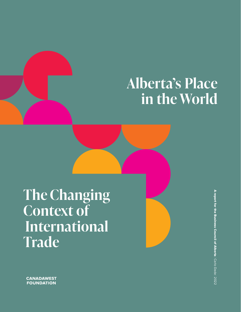# **Alberta's Place in the World**

**The Changing Context of International Trade**

A report for the Business Council of AlbertaCarlo Dade| 2022

**CANADAWEST FOUNDATION**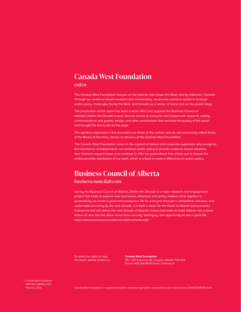# **Canada West Foundation**

## *[cwf.ca](http://cwf.ca)*

The Canada West Foundation focuses on the policies that shape the West, and by extension, Canada. Through our evidence-based research and commentary, we provide practical solutions to tough public policy challenges facing the West, and Canada as a whole, at home and on the global stage.

The preparation of this report has been a team effort and supports the Business Council of Alberta's Define the Decade project. Sincere thanks to everyone who helped with research, editing, communications and graphic design, and other contributions that enriched the quality of the report and brought the text to life on the page.

The opinions expressed in this document are those of the authors and do not necessarily reflect those of the Board of Directors, donors or advisers of the Canada West Foundation.

The Canada West Foundation relies on the support of donors and corporate supporters who recognize the importance of independent, non-partisan public policy to provide evidence-based solutions. Your financial support helps us to continue to offer our publications free online and to ensure the widest possible distribution of our work, which is critical to make a difference on public policy.

# **Business Council of Alberta**

## *[businesscouncilab.com](https://www.businesscouncilab.com/)*

Led by the Business Council of Alberta, Define the Decade is a major research and engagement project that looks to explore how businesses, Albertans and policy makers come together to purposefully co-create a good and prosperous life for everyone through a competitive, inclusive, and sustainable economy by the next decade. It is both a vision for the future of Alberta and economic framework that will define the next decade of Alberta's future and looks to build Alberta into a place where all who call this place home have security, belonging, and opportunity to live a good life. <https://www.businesscouncilab.com/definethedecade/>

To obtain the rights to copy this report, please contact us: **Canada West Foundation** 110 – 134 11 Avenue SE, Calgary, Alberta T2G 0X5 Phone: 403-264-9535 Email: cwf@cwf.ca

© Canada West Foundation ISBN 978-1-989323-78-6 February 2022

Canada West Foundation is a registered Canadian charitable organization incorporated under federal charter. (#11882 8698 RR 0001)<br>.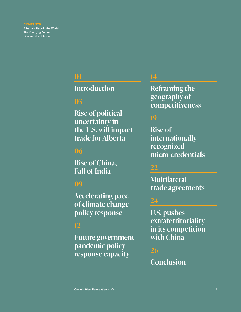# **[01](#page-3-0)**

# **[Introduction](#page-3-0)**

## **[03](#page-5-0)**

**[Rise of political](#page-5-0)  [uncertainty in](#page-5-0)  [the U.S. will impact](#page-5-0)  [trade for Alberta](#page-5-0)**

# **[06](#page-8-0)**

**[Rise of China,](#page-8-0)  [Fall of India](#page-8-0)**

# **[09](#page-11-0)**

**[Accelerating pace](#page-11-0)  [of climate change](#page-11-0)  [policy response](#page-11-0)**

# **[12](#page-14-0)**

**[Future government](#page-14-0)  [pandemic policy](#page-14-0)  [response capacity](#page-14-0)**

# **[14](#page-16-0)**

**[Reframing the](#page-16-0)  [geography of](#page-16-0)  [competitiveness](#page-16-0)**

# **[19](#page-21-0)**

**[Rise of](#page-21-0)  [internationally](#page-21-0)  [recognized](#page-21-0)  [micro-credentials](#page-21-0)**

**[Multilateral](#page-24-0)  [trade agreements](#page-24-0)**

**[U.S. pushes](#page-26-0)  [extraterritoriality](#page-26-0)  [in its competition](#page-26-0)  [with China](#page-26-0)**

## **[26](#page-28-0)**

# **[Conclusion](#page-28-0)**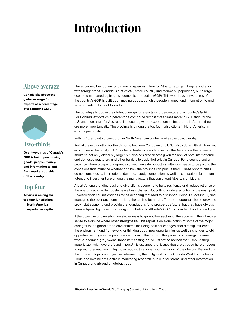# <span id="page-3-0"></span>**Introduction**

## **Above average**

Canada sits above the global average for exports as a percentage of a country's GDP.



## **Two-thirds**

Over two-thirds of Canada's GDP is built upon moving goods, people, money, and information to and from markets outside of the country.

## **Top four**

Alberta is among the top four jurisdictions in North America in exports per capita.

The economic foundation for a more prosperous future for Albertans largely begins and ends with foreign trade. Canada is a relatively small country and market by population, but a large economy measured by its gross domestic production (GDP). This wealth, over two-thirds of the country's GDP, is built upon moving goods, but also people, money, and information to and from markets outside of Canada.

The country sits above the global average for exports as a percentage of a country's GDP. For Canada, exports as a percentage contribute almost three times more to GDP than for the U.S. and more than for Australia. In a country where exports are so important, in Alberta they are more important still. The province is among the top four jurisdictions in North America in exports per capita.

Putting Alberta into a comparative North American context makes the point clearly.

Part of the explanation for the disparity between Canadian and U.S. jurisdictions with similar-sized economies is the ability of U.S. states to trade with each other. For the Americans the domestic market is not only obviously larger but also easier to access given the lack of both international and domestic regulatory and other barriers to trade that exist in Canada. For a country and a province where prosperity depends so much on external actors, attention needs to be paid to the conditions that influence whether and how the province can pursue them. These opportunities do not come easily. International demand, supply competition as well as competition for human talent and investment are among the many factors that can thwart Alberta's ambitions.

Alberta's long-standing desire to diversify its economy to build resilience and reduce reliance on the energy sector rollercoaster is well established. But calling for diversification is the easy part. Diversification causes changes to the economy that lead to disruption. Doing it successfully and managing the tiger once one has it by the tail is a lot harder. There are opportunities to grow the provincial economy and provide the foundations for a prosperous future, but they have always been eclipsed by the extraordinary contribution to Alberta's GDP from crude oil and natural gas.

If the objective of diversification strategies is to grow other sectors of the economy, then it makes sense to examine where other strengths lie. This report is an examination of some of the major changes to the global trade environment, including political changes, that directly influence the environment and framework for thinking about new opportunities as well as changes to old opportunities to grow the province's economy. The focus in this paper is on emerging issues, what are termed grey swans, those items sitting on, or just off the horizon that—should they materialize—will have profound impact.<sup>1</sup> It is assumed that issues that are already here or about to appear are well known by those reading this paper – an omission of the obvious. Beyond this, the choice of topics is subjective, informed by the daily work of the Canada West Foundation's Trade and Investment Centre in monitoring research, public discussions, and other information in Canada and abroad on global trade.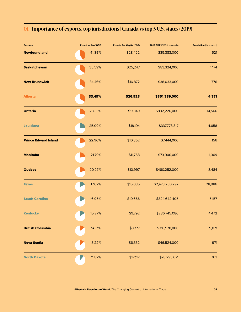## **01 Importance of exports, top jurisdictions | Canada vs top 5 U.S. states (2019)**

| <b>Province</b>             | <b>Export as % of GDP</b> | <b>Exports Per Capita (CD\$)</b> | 2019 GDP (CD\$ thousands) | <b>Population</b> (thousands) |
|-----------------------------|---------------------------|----------------------------------|---------------------------|-------------------------------|
| <b>Newfoundland</b>         | 41.89%                    | \$28,422                         | \$35,383,000              | 521                           |
| <b>Saskatchewan</b>         | 35.59%                    | \$25,247                         | \$83,324,000              | 1,174                         |
| <b>New Brunswick</b>        | 34.46%                    | \$16,872                         | \$38,033,000              | 776                           |
| <b>Alberta</b>              | 33.49%                    | \$26,923                         | \$351,389,000             | 4,371                         |
| <b>Ontario</b>              | 28.33%                    | \$17,349                         | \$892,226,000             | 14,566                        |
| <b>Louisiana</b>            | 25.09%                    | \$18,194                         | \$337,778,317             | 4,658                         |
| <b>Prince Edward Island</b> | 22.90%                    | \$10,862                         | \$7,444,000               | 156                           |
| <b>Manitoba</b>             | 21.79%                    | \$11,758                         | \$73,900,000              | 1,369                         |
| <b>Quebec</b>               | 20.27%                    | \$10,997                         | \$460,252,000             | 8,484                         |
| <b>Texas</b>                | 17.62%                    | \$15,035                         | \$2,473,280,297           | 28,986                        |
| <b>South Carolina</b>       | 16.95%                    | \$10,666                         | \$324,642,405             | 5,157                         |
| <b>Kentucky</b>             | 15.27%                    | \$9,792                          | \$286,745,080             | 4,472                         |
| <b>British Columbia</b>     | 14.31%                    | \$8,777                          | \$310,978,000             | 5,071                         |
| <b>Nova Scotia</b>          | 13.22%                    | \$6,332                          | \$46,524,000              | 971                           |
| <b>North Dakota</b>         | 11.82%<br>И               | \$12,112                         | \$78,293,071              | 763                           |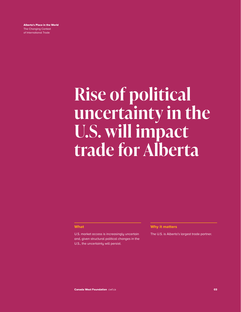# <span id="page-5-0"></span>**Rise of political uncertainty in the U.S. will impact trade for Alberta**

## What

U.S. market access is increasingly uncertain and, given structural political changes in the U.S., the uncertainty will persist.

## Why it matters

The U.S. is Alberta's largest trade partner.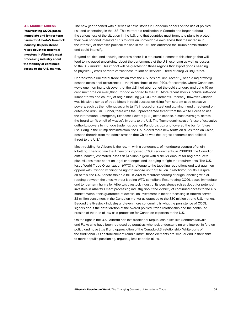### U.S. MARKET ACCESS

Resurrecting COOL poses immediate and longer-term harms for Alberta's livestock industry. Its persistence raises doubt for potential investors in Alberta's meat processing industry about the viability of continued access to the U.S. market.

The new year opened with a series of news stories in Canadian papers on the rise of political risk and uncertainty in the U.S. This mirrored a realization in Canada and beyond about the seriousness of the situation in the U.S. and that countries must formulate plans to protect their own national interests.<sup>2</sup> This follows an unavoidable awareness that the increase in the intensity of domestic political tension in the U.S. has outlasted the Trump administration and could intensify.

Beyond political and security concerns, there is a structural element to this change that will lead to increased uncertainty about the performance of the U.S. economy as well as access to the U.S. market. This impact will be greatest on those regions that export goods needing to physically cross borders versus those reliant on services – feedlot alley vs Bay Street.

Unpredictable unilateral trade action from the U.S. has not, until recently, been a major worry despite occasional occurrences – the Nixon shock of the 1970s, for example, where Canadians woke one morning to discover that the U.S. had abandoned the gold standard and put a 10 per cent surcharge on everything Canada exported to the U.S. More recent shocks include softwood lumber tariffs and country of origin labelling (COOL) requirements. Recently, however Canada was hit with a series of trade blows in rapid succession rising from seldom-used executive powers, such as the national security tariffs imposed on steel and aluminum and threatened on autos and uranium. Further, there was the unprecedented threat from the White House to use the International Emergency Economic Powers (IEEP) act to impose, almost overnight, acrossthe-board tariffs on all of Mexico's imports to the U.S. The Trump administration's use of executive authority powers to manage trade has opened Pandora's box and lowered the bar for future use. Early in the Trump administration, the U.S. placed more new tariffs on allies than on China, despite rhetoric from the administration that China was the largest economic and political threat to the  $U.S.^3$ 

Most troubling for Alberta is the return, with a vengeance, of mandatory country of origin labelling. The last time the Americans imposed COOL requirements, in 2008/09, the Canadian cattle industry estimated losses at \$1 billion a year with a similar amount for hog producers plus millions more spent on legal challenges and lobbying to fight the requirements. The U.S. lost a World Trade Organization (WTO) challenge to the labelling regulations and lost again on appeal with Canada winning the right to impose up to \$3 billion in retaliatory tariffs. Despite all of this, the U.S. Senate tabled a bill in 2021 to resurrect country of origin labelling with or, reading between the lines, without it being WTO compliant. Resurrecting COOL poses immediate and longer-term harms for Alberta's livestock industry. Its persistence raises doubt for potential investors in Alberta's meat processing industry about the viability of continued access to the U.S. market. Without this guarantee of access, an investment in meat processing in Alberta serves 38 million consumers in the Canadian market as opposed to the 330 million-strong U.S. market. Beyond the livestock industry and even more concerning is what the persistence of COOL signals about the deterioration of the overall political-trade relationship and the continued erosion of the rule of law as a protection for Canadian exporters to the U.S.

On the right in the U.S., Alberta has lost traditional Republican allies like Senators McCain and Flake who have been replaced by populists who lack understanding and interest in foreign policy and have little if any appreciation of the Canada-U.S. relationship. While parts of the traditional GOP establishment remain intact, those elements are smaller and in their shift to more populist positioning, arguably less capable allies.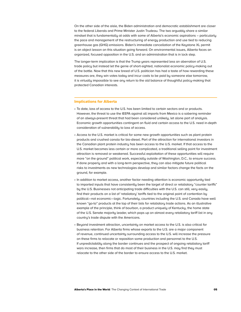On the other side of the aisle, the Biden administration and democratic establishment are closer to the federal Liberals and Prime Minister Justin Trudeau. The two arguably share a similar mindset that is fundamentally at odds with some of Alberta's economic aspirations – particularly the pace and management of the restructuring of energy production and use tied to reducing greenhouse gas (GHG) emissions. Biden's immediate cancellation of the Keystone XL permit is an object lesson on this situation going forward. On environmental issues, Alberta faces an organized, focused opposition in the U.S. and an administration that is in lock step.

The longer-term implication is that the Trump years represented less an aberration of U.S. trade policy but instead let the genie of short-sighted, nationalist economic policy-making out of the bottle. Now that this new breed of U.S. politician has had a taste of how rewarding these measures are, they win votes today and incur costs to be paid by someone else tomorrow, it is virtually impossible to see any return to the old balance of thoughtful policy-making that protected Canadian interests.

- To date, loss of access to the U.S. has been limited to certain sectors and or products. However, the threat to use the IEEPA against all imports from Mexico is a sobering reminder of an always-present threat that had been considered unlikely, let alone part of analysis. Economic growth opportunities contingent on fluid and certain access to the U.S. need in-depth consideration of vulnerability to loss of access.
- Access to the U.S. market is critical for some new growth opportunities such as plant protein products and crushed canola for bio-diesel. Part of the attraction for international investors in the Canadian plant protein industry has been access to the U.S. market. If that access to the U.S. market becomes less certain or more complicated, a traditional selling point for investment attraction is removed or weakened. Successful exploitation of these opportunities will require more "on the ground" political work, especially outside of Washington, D.C., to ensure success. If done properly and with a long-term perspective, they can also mitigate future political risks to investments as new technologies develop and similar factors change the facts on the ground, for example.
- In addition to market access, another factor needing attention is economic opportunity tied to imported inputs that have consistently been the target of direct or retaliatory "counter tariffs" by the U.S. Businesses not anticipating trade difficulties with the U.S. can still, very easily, find their products on a list of 'retaliatory' tariffs tied to the original point of contention by political—not economic—logic. Fortunately, countries including the U.S. and Canada have well known "go-to" products at the top of their lists for retaliatory trade actions. As an illustrative example of the principle, think of bourbon, a product uniquely of Kentucky, the home state of the U.S. Senate majority leader, which pops up on almost every retaliatory tariff list in any country's trade dispute with the Americans.
- Beyond investment attraction, uncertainty on market access to the U.S. is also critical for business retention. For Alberta firms whose exports to the U.S. are a major component of revenue, continued uncertainty surrounding access to the U.S. will increase the pressure on these firms to relocate or reposition some production and personnel to the U.S. If unpredictability along the border continues and the prospect of ongoing retaliatory tariff wars increase, then firms that do most of their business in the U.S. may find they must relocate to the other side of the border to ensure access to the U.S. market.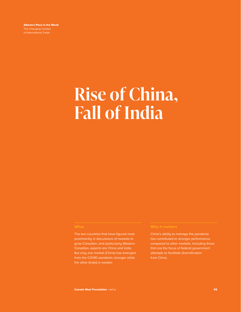# <span id="page-8-0"></span>**Rise of China, Fall of India**

The two countries that have figured most prominently in discussions of markets to grow Canadian, and particularly Western Canadian, exports are China and India. But only one market (China) has emerged from the COVID pandemic stronger while the other (India) is weaker.

China's ability to manage the pandemic has contributed to stronger performance compared to other markets, including those that are the focus of federal government attempts to facilitate diversification from China.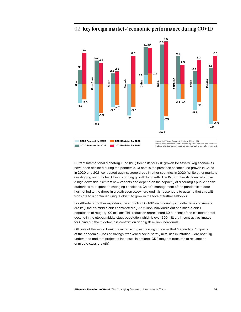

## **02 Key foreign markets\* economic performance during COVID**

Current International Monetary Fund (IMF) forecasts for GDP growth for several key economies have been declined during the pandemic. Of note is the presence of continued growth in China in 2020 and 2021 contrasted against steep drops in other countries in 2020. While other markets are digging out of holes, China is adding growth to growth. The IMF's optimistic forecasts have a high downside risk from new variants and depend on the capacity of a country's public health authorities to respond to changing conditions. China's management of the pandemic to date has not led to the drops in growth seen elsewhere and it is reasonable to assume that this will translate to a continued unique ability to grow in the face of further setbacks.

For Alberta and other exporters, the impacts of COVID on a country's middle class consumers are key. India's middle class contracted by 32 million individuals out of a middle-class population of roughly 100 million.<sup>4</sup> This reduction represented 60 per cent of the estimated total decline in the global middle class population which is over 500 million. In contrast, estimates for China put the middle-class contraction at only 10 million individuals.

Officials at the World Bank are increasingly expressing concerns that "second-tier" impacts of the pandemic – loss of savings, weakened social safety nets, rise in inflation – are not fully understood and that projected increases in national GDP may not translate to resumption of middle-class growth.<sup>5</sup>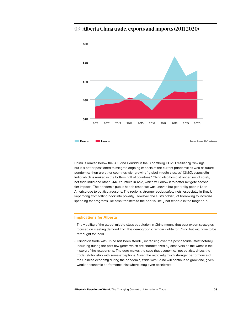

## **03 Alberta-China trade, exports and imports (2011-2020)**

China is ranked below the U.K. and Canada in the Bloomberg COVID resiliency rankings, but it is better positioned to mitigate ongoing impacts of the current pandemic as well as future pandemics than are other countries with growing "global middle classes" (GMC), especially India which is ranked in the bottom half of countries.<sup>6</sup> China also has a stronger social safety net than India and other GMC countries in Asia, which will allow it to better mitigate second tier impacts. The pandemic public health response was uneven but generally poor in Latin America due to political reasons. The region's stronger social safety nets, especially in Brazil, kept many from falling back into poverty. However, the sustainability of borrowing to increase spending for programs like cash transfers to the poor is likely not tenable in the longer run.

- The viability of the global middle-class population in China means that past export strategies focused on meeting demand from this demographic remain viable for China but will have to be rethought for India.
- Canadian trade with China has been steadily increasing over the past decade, most notably including during the past few years which are characterized by observers as the worst in the history of the relationship. The data makes the case that economics, not politics, drives the trade relationship with some exceptions. Given the relatively much stronger performance of the Chinese economy during the pandemic, trade with China will continue to grow and, given weaker economic performance elsewhere, may even accelerate.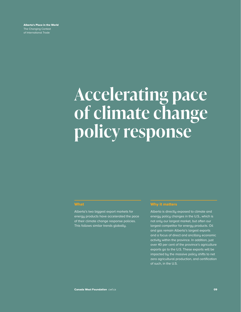# <span id="page-11-0"></span>**Accelerating pace of climate change policy response**

## What

Alberta's two biggest export markets for energy products have accelerated the pace of their climate change response policies. This follows similar trends globally.

## Why it matters

Alberta is directly exposed to climate and energy policy changes in the U.S., which is not only our largest market, but often our largest competitor for energy products. Oil and gas remain Alberta's largest exports and a focus of direct and ancillary economic activity within the province. In addition, just over 40 per cent of the province's agriculture exports go to the U.S. These exports will be impacted by the massive policy shifts to net zero agricultural production, and certification of such, in the U.S.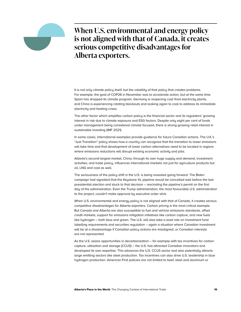# **When U.S. environmental and energy policy is not aligned with that of Canada, it creates serious competitive disadvantages for Alberta exporters.**

It is not only climate policy itself, but the volatility of that policy that creates problems. For example, the goal of COP26 in November was to accelerate action, but at the same time Spain has dropped its climate program, Germany is reopening coal fired electricity plants, and China is experiencing rotating blackouts and looking again to coal to address its immediate electricity and heating crises.

The other factor which amplifies carbon policy is the financial sector and its regulators' growing interest in risk due to climate exposure and ESG factors. Despite only eight per cent of funds under management being considered climate focused, there is strong growing retail interest in sustainable investing (IMF 2021).

In some cases, international examples provide guidance for future Canadian actions. The U.K.'s "Just Transition" policy shows how a country can recognize that the transition to lower emissions will take time and that development of lower carbon alternatives need to be located in regions where emissions reductions will disrupt existing economic activity and jobs.

Alberta's second-largest market, China, through its own huge supply and demand, investment activities, and trade policy, influences international markets not just for agriculture products but oil, LNG and coal as well.

The seriousness of the policy shift in the U.S. is being revealed going forward. The Biden campaign had signalled that the Keystone XL pipeline would be cancelled well before the last presidential election and stuck to that decision – rescinding the pipeline's permit on the first day of the administration. Even the Trump administration, the most favourable U.S. administration to the project, couldn't make approval by executive order stick.

When U.S. environmental and energy policy is not aligned with that of Canada, it creates serious competitive disadvantages for Alberta exporters. Carbon pricing is the most critical example. But Canada and Alberta are also susceptible to fuel and vehicle emissions standards, offset credit markets, support for emissions mitigation initiatives like carbon capture, and new fuels like hydrogen – both blue and green. The U.S. will also take a lead role on investment fund labelling requirements and securities regulation – again a situation where Canadian investment will be at a disadvantage if Canadian policy actions are misaligned, or Canadian interests are not represented.

As the U.S. seizes opportunities in decarbonization – for example with tax incentives for carbon capture, utilization and storage (CCUS) – the U.S. has attracted Canadian innovators and developed its own expertise. This advances the U.S. CCUS sector and also potentially attracts large emitting sectors like steel production. Tax incentives can also drive U.S. leadership in blue hydrogen production. American First policies are not limited to beef, steel and aluminum or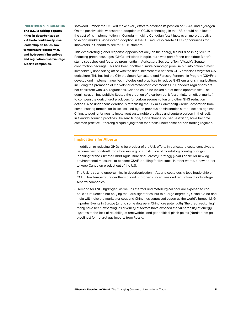### INCENTIVES & REGULATION

The U.S. is seizing opportunities in decarbonization – Alberta could easily lose leadership on CCUS, low temperature geothermal, and hydrogen if incentives and regulation disadvantage Alberta companies.

softwood lumber: the U.S. will make every effort to advance its position on CCUS and hydrogen. On the positive side, widespread adoption of CCUS technology in the U.S. should help lower the cost of its implementation in Canada – making Canadian fossil fuels even more attractive to export markets. Widespread adoption in the U.S. may also create CCUS opportunities for innovators in Canada to sell to U.S. customers.

This accelerating global response appears not only on the energy file but also in agriculture. Reducing green house gas (GHG) emissions in agriculture was part of then-candidate Biden's stump speeches and featured prominently in Agriculture Secretary Tom Vilsack's Senate confirmation hearings. This has been another climate campaign promise put into action almost immediately upon taking office with the announcement of a net-zero GHG emissions target for U.S. agriculture. This has led the Climate-Smart Agriculture and Forestry Partnership Program (CSAF) to develop and implement new technologies and practices to reduce GHG emissions in agriculture, including the promotion of markets for climate-smart commodities. If Canada's regulations are not consistent with U.S. regulations, Canada could be locked out of these opportunities. The administration has publicly floated the creation of a carbon bank (essentially an offset market) to compensate agricultural producers for carbon sequestration and other GHG reduction actions. Also under consideration is refocusing the USDA's Commodity Credit Corporation from compensating farmers for losses caused by the previous administration's trade actions against China, to paying farmers to implement sustainable practices and capture carbon in their soil. In Canada, farming practices like zero tillage, that enhance soil sequestration, have become common practice – thereby disqualifying them for credits under some carbon trading regimes.

- In addition to reducing GHGs, a by-product of the U.S. efforts in agriculture could conceivably become new non-tariff trade barriers, e.g., a substitution of mandatory country of origin labelling for the Climate-Smart Agriculture and Forestry Strategy (CSAF) or similar new ag environmental measures to become CSAF labelling for livestock. In other words, a new barrier to keep Canadian product out of the U.S.
- The U.S. is seizing opportunities in decarbonization Alberta could easily lose leadership on CCUS, low temperature geothermal and hydrogen if incentives and regulation disadvantage Alberta companies.
- Demand for LNG, hydrogen, as well as thermal and metallurgical coal are exposed to coal policies influenced not only by the Paris signatories, but to a large degree by China. China and India will make the market for coal and China has surpassed Japan as the world's largest LNG importer. Events in Europe (and to some degree in China) are potentially "the great reckoning" many have been expecting, as a variety of factors have exposed the vulnerability of energy systems to the lack of reliability of renewables and geopolitical pinch points (Nordstream gas pipelines) for natural gas imports from Russia.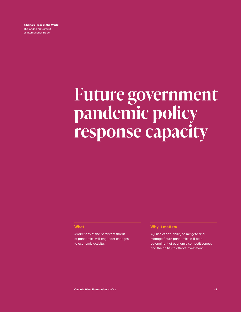# <span id="page-14-0"></span>**Future government pandemic policy response capacity**

### What

Awareness of the persistent threat of pandemics will engender changes to economic activity.

## Why it matters

A jurisdiction's ability to mitigate and manage future pandemics will be a determinant of economic competitiveness and the ability to attract investment.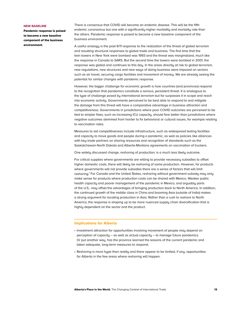### NEW BASELINE

Pandemic response is poised to become a new baseline component of the business environment.

There is consensus that COVID will become an endemic disease. This will be the fifth endemic coronavirus but one with a significantly higher morbidity and mortality rate than the others. Pandemic response is poised to become a new baseline component of the business environment.

A useful analogy is the post-9/11 response to the realization of the threat of global terrorism and resulting structural responses to global trade and business. The first time that the twin towers in New York were bombed was 1993 and the threat was marginalized, much like the response in Canada to SARS. But the second time the towers were bombed in 2001, the response was global and continues to this day. In the areas directly at risk to global terrorism, new regulations, new structures and new ways of doing business were imposed on sectors such as air travel, securing cargo facilities and movement of money. We are already seeing the potential for similar changes with pandemic response.

However, the bigger challenge for economic growth is how countries (and provinces) respond to the recognition that pandemics constitute a serious, persistent threat. It is analogous to the type of challenge posed by international terrorism but far surpasses it in scope and reach into economic activity. Governments perceived to be best able to respond to and mitigate the damage from this threat will have a comparative advantage in business attraction and competitiveness. Governments in jurisdictions where poor COVID outcomes are perceived to be tied to simpler fixes, such as increasing ICU capacity, should fare better than jurisdictions where negative outcomes stemmed from harder to fix behavioral or cultural issues, for example relating to vaccination rates.

Measures to aid competitiveness include infrastructure, such as widespread testing facilities and capacity to move goods and people during a pandemic, as well as policies like alliances with key trade partners on sharing resources and recognition of standards such as the Saskatchewan-North Dakota and Alberta-Montana agreements on vaccination of truckers.

One widely discussed change, reshoring of production, is a much less likely outcome.

For critical supplies where governments are willing to provide necessary subsidies to offset higher domestic costs, there will likely be reshoring of some production. However, for products where governments will not provide subsidies there are a series of factors that will limit reshoring.<sup>7</sup> For Canada and the United States, reshoring without government subsidy may only make sense for products where production costs can be shared with Mexico. Weaker public health capacity and poorer management of the pandemic in Mexico, and arguably parts of the U.S., may offset the advantages of bringing production back to North America. In addition, the continued growth of the middle class in China and booming Asia (outside of India) makes a strong argument for locating production in Asia. Rather than a rush to reshore to North America, the response is shaping up to be more nuanced supply chain diversification that is highly dependent on the sector and the product.

- Investment attraction for opportunities involving movement of people may depend on perception of capacity – as well as actual capacity – to manage future pandemics. Or put another way, has the province learned the lessons of the current pandemic and taken adequate, long-term measures to respond.
- Reshoring is more hype than reality and there appear to be limited, if any, opportunities for Alberta in the few areas where reshoring will happen.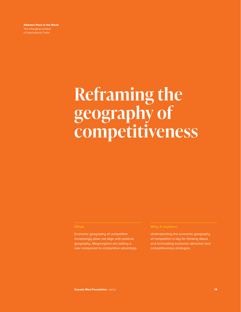# <span id="page-16-0"></span>**Reframing the geography of competitiveness**

Economic geography of competition increasingly does not align with political geography. Megaregions are adding a new component to competitive advantage.

Understanding the economic geography of competition is key for thinking about and formulating economic attraction and competitiveness strategies.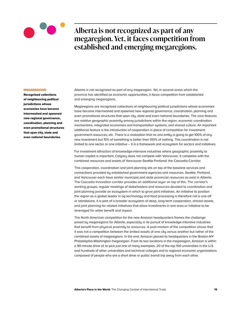

# **Alberta is not recognized as part of any megaregion. Yet, it faces competition from established and emerging megaregions.**

### **MEGAREGIONS**

Recognized collections of neighbouring political jurisdictions whose economies have become intermeshed and spawned new regional governance, coordination, planning and even promotional structures that span city, state and even national boundaries.

Alberta is not recognized as part of any megaregion. Yet, in several areas which the province has identified as economic opportunities, it faces competition from established and emerging megaregions.

Megaregions are recognized collections of neighbouring political jurisdictions whose economies have become intermeshed and spawned new regional governance, coordination, planning and even promotional structures that span city, state and even national boundaries. The core features are relative geographic proximity among jurisdictions within the region, economic coordination mechanisms, integrated economies and transportation systems, and shared culture. An important additional feature is the introduction of cooperation in place of competition for investment, government resources, etc. There is a realization that no one entity is going to get 100% of any new investment but 10% of something is better than 100% of nothing. This coordination is not limited to one sector or one initiative – it is a framework and ecosystem for sectors and initiatives.

For investment attraction of knowledge-intensive industries where geographic proximity to human capital is important, Calgary does not compete with Vancouver. It competes with the combined resources and assets of Vancouver-Seattle-Portland: the Cascadia Corridor.

This cooperation, coordination and joint planning sits on top of the baseline services and connections provided by established government agencies and resources. Seattle, Portland, and Vancouver each have similar municipal and state provincial resources as exist in Alberta. The Cascadia Innovation corridor provides an additional layer on top of this. The corridor's working groups, regular meetings of stakeholders and resources devoted to coordination and joint planning provide an ecosystem in which to grow joint initiatives. An initiative to position the region as a global leader in ag technology and food processing is therefore not a one-off or standalone. It is part of a broader ecosystem of deep, long-term cooperation, shared assets, and joint planning for related initiatives that allow investments in one area or initiative to be leveraged for wider benefit and impact.

The North American competition for the new Amazon headquarters frames the challenge posed by megaregions for Alberta, especially in its pursuit of knowledge-intensive industries that benefit from physical proximity to resources. A post-mortem of the competition shows that it was not a competition between the limited assets of one city versus another but rather of the combined assets of megaregions. In the end, Amazon placed its headquarters in the Boston-NY-Philadelphia-Washington megaregion. From its two locations in the megaregion, Amazon is within a 90-minute drive of, to pick just one of many examples, 20 of the top 100 universities in the U.S. and hundreds of other universities and technical colleges and to regional economic organizations composed of people who are a short drive or public transit trip away from each other.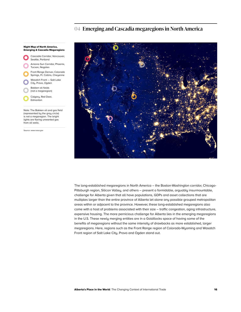## **04 Emerging and Cascadia megaregions in North America**

Night Map of North America, Emerging & Cascadia Megaregions



(represented by the gray circle) is not a megaregion. The bright lights are flaring unwanted gas from oil wells.

Source: [www.nasa.gov](http://www.nasa.gov)



The long-established megaregions in North America – the Boston-Washington corridor, Chicago-Pittsburgh region, Silicon Valley, and others – present a formidable, arguably insurmountable, challenge for Alberta given that all have populations, GDPs and asset collections that are multiples larger than the entire province of Alberta let alone any possible grouped metropolitan areas within or adjacent to the province. However, these long-established megaregions also come with a host of problems associated with their size – traffic congestion, aging infrastructure, expensive housing. The more pernicious challenge for Alberta lies in the emerging megaregions in the U.S. These newly merging entities are in a Goldilocks space of having some of the benefits of megaregions without the same intensity of drawbacks as more established, larger megaregions. Here, regions such as the Front Range region of Colorado-Wyoming and Wasatch Front region of Salt Lake City, Provo and Ogden stand out.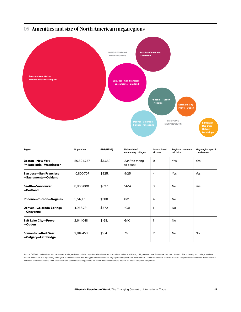

### **Region Population GDP(US\$B) Universities/ community colleges International airports Regional commuter rail links Megaregion specific coordination** Boston—New York— Philadelphia—Washington 50,524,757 \$3,650 234/too many to count 9 Yes Yes San Jose—San Francisco —Sacramento—Oakland 10,800,707 \$925. 9/25 4 Yes Yes Seattle—Vancouver —Portland 8,800,000 \$627 14/14 3 No Yes **Phoenix—Tucson—Nogales** 5,517,131 \$300 8/11 4 No Denver—Colorado Springs —Cheyenne 4,966,781 \$570 10/8 1 1 No Salt Lake City—Provo —Ogden 2,641,048 \$168. 6/10 1 No Edmonton—Red Deer —Calgary—Lethbridge 2,814,453 \$164 7/7 2 No No

Source: CWF calculations from various sources. Colleges do not include for-profit trade schools and institutions, a choice which arguably paints a more favourable picture for Canada. The university and college numbers exclude institutions with a primarily theological or faith curriculum. For the hypothetical Edmonton-Calgary-Lethbridge corridor, NAIT and SAIT are included under universities. Exact comparisons between U.S. and Canadian difficulties are difficult but the same distinctions and definitions were applied to U.S. and Canadian corridors to attempt an apples-to-apples comparison.

Alberta's Place in the World: The Changing Context of International Trade 17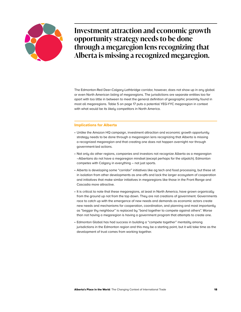

**Investment attraction and economic growth opportunity strategy needs to be done through a megaregion lens recognizing that Alberta is missing a recognized megaregion.**

The Edmonton-Red Deer-Calgary-Lethbridge corridor, however, does not show up in any global or even North American listing of megaregions. The jurisdictions are separate entities too far apart with too little in between to meet the general definition of geographic proximity found in most all megaregions. Table 5 on page 17 puts a potential YEG-YYC megaregion in context with what would be its likely competitors in North America.

- Unlike the Amazon HQ campaign, investment attraction and economic growth opportunity strategy needs to be done through a megaregion lens recognizing that Alberta is missing a recognized megaregion and that creating one does not happen overnight nor through government-led actions.
- Not only do other regions, companies and investors not recognize Alberta as a megaregion –Albertans do not have a megaregion mindset (except perhaps for the oilpatch). Edmonton competes with Calgary in everything – not just sports.
- Alberta is developing some "corridor" initiatives like ag tech and food processing, but these sit in isolation from other developments as one-offs and lack the larger ecosystem of cooperation and initiatives that make similar initiatives in megaregions like those in the Front Range and Cascadia more attractive.
- It is critical to note that these megaregions, at least in North America, have grown organically from the ground up not from the top down. They are not creations of government. Governments race to catch up with the emergence of new needs and demands as economic actors create new needs and mechanisms for cooperation, coordination, and planning and most importantly as "beggar thy neighbour" is replaced by "band together to compete against others". Worse than not having a megaregion is having a government program that attempts to create one.
- Edmonton Global has had success in building a "compete together" mentality among jurisdictions in the Edmonton region and this may be a starting point, but it will take time as the development of trust comes from working together.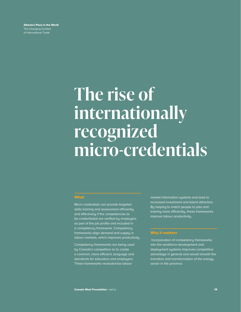# <span id="page-21-0"></span>**The rise of internationally recognized micro-credentials**

Micro credentials can provide targeted skills training and assessment efficiently and effectively if the competencies to be credentialed are verified by employers as part of the job profile and included in a competency framework. Competency frameworks align demand and supply in labour markets, which improves productivity.

Competency frameworks are being used by Canada's competitors to to create a common, more efficient, language and standards for educators and employers. These frameworks revolutionize labour

market information systems and lead to increased investment and talent attraction. By helping to match people to jobs and training more efficiently, these frameworks improve labour productivity.

 Incorporation of competency frameworks into the workforce development and deployment systems improves competitive advantage in general and would smooth the transition and transformation of the energy sector in the province.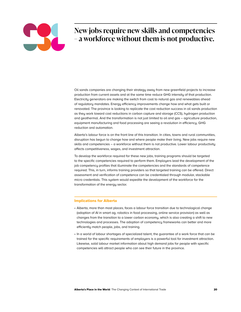

# **New jobs require new skills and competencies – a workforce without them is not productive.**

Oil sands companies are changing their strategy away from new greenfield projects to increase production from current assets and at the same time reduce GHG intensity of that production. Electricity generators are making the switch from coal to natural gas and renewables ahead of regulatory mandates. Energy efficiency improvements change how and what gets built or renovated. The province is looking to replicate the cost reduction success in oil sands production as they work toward cost reductions in carbon capture and storage (CCS), hydrogen production and geothermal. And the transformation is not just limited to oil and gas – agriculture production, equipment manufacturing and food processing are seeing a revolution in efficiency, GHG reduction and automation.

Alberta's labour force is on the front line of this transition. In cities, towns and rural communities, disruption has begun to change how and where people make their living. New jobs require new skills and competencies – a workforce without them is not productive. Lower labour productivity affects competitiveness, wages, and investment attraction.

To develop the workforce required for these new jobs, training programs should be targeted to the specific competencies required to perform them. Employers lead the development of the job competency profiles that illuminate the competencies and the standards of competence required. This, in turn, informs training providers so that targeted training can be offered. Direct assessment and verification of competence can be credentialed through modular, stackable micro credentials. This system would expedite the development of the workforce for the transformation of the energy sector.

- Alberta, more than most places, faces a labour force transition due to technological change (adoption of AI in smart ag, robotics in food processing, online service provision) as well as changes from the transition to a lower carbon economy, which is also creating a shift to new technologies and processes. The adoption of competency frameworks can better and more efficiently match people, jobs, and training.
- In a world of labour shortages of specialized talent, the guarantee of a work force that can be trained for the specific requirements of employers is a powerful tool for investment attraction. Likewise, solid labour market information about high demand jobs for people with specific competencies will attract people who can see their future in the province.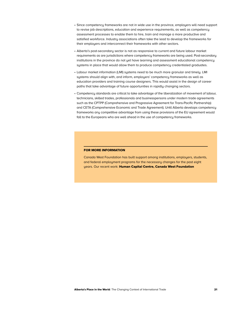- Since competency frameworks are not in wide use in the province, employers will need support to revise job descriptions, education and experience requirements, as well as competency assessment processes to enable them to hire, train and manage a more productive and satisfied workforce. Industry associations often take the lead to develop the frameworks for their employers and interconnect their frameworks with other sectors.
- Alberta's post-secondary sector is not as responsive to current and future labour market requirements as are jurisdictions where competency frameworks are being used. Post-secondary institutions in the province do not yet have learning and assessment educational competency systems in place that would allow them to produce competency credentialed graduates.
- Labour market information (LMI) systems need to be much more granular and timely. LMI systems should align with, and inform, employers' competency frameworks as well as education providers and training course designers. This would assist in the design of career paths that take advantage of future opportunities in rapidly changing sectors.
- Competency standards are critical to take advantage of the liberalization of movement of labour, technicians, skilled trades, professionals and businesspersons under modern trade agreements such as the CPTPP (Comprehensive and Progressive Agreement for Trans-Pacific Partnership) and CETA (Comprehensive Economic and Trade Agreement). Until Alberta develops competency frameworks any competitive advantage from using these provisions of the EU agreement would fall to the Europeans who are well ahead in the use of competency frameworks.

### FOR MORE INFORMATION

Canada West Foundation has built support among institutions, employers, students, and federal employment programs for the necessary changes for the past eight years. Our recent work: [Human Capital Centre, Canada West Foundation](https://cwf.ca/our-centres/the-centre-for-human-capital-policy/)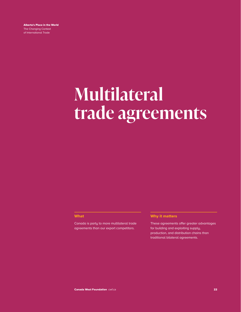# <span id="page-24-0"></span>**Multilateral trade agreements**

## What

Canada is party to more multilateral trade agreements than our export competitors.

## Why it matters

These agreements offer greater advantages for building and exploiting supply, production, and distribution chains than traditional bilateral agreements.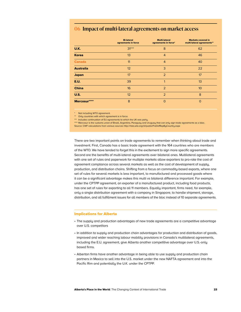## **06 Impact of multi-lateral agreements on market access**

|                  | <b>Bi-lateral</b><br>agreements in force | <b>Multi-lateral</b><br>agreements in force* | <b>Markets covered in</b><br>multi-lateral agreements** |
|------------------|------------------------------------------|----------------------------------------------|---------------------------------------------------------|
| <b>U.K.</b>      | $31***$                                  | 8                                            | 62                                                      |
| <b>Korea</b>     | 13                                       | $\overline{4}$                               | 46                                                      |
| <b>Canada</b>    | 11                                       | $\overline{4}$                               | 40                                                      |
| <b>Australia</b> | 12                                       | 3                                            | 22                                                      |
| <b>Japan</b>     | 17                                       | $\overline{2}$                               | 17                                                      |
| E.U.             | 39                                       | 1                                            | 13                                                      |
| <b>China</b>     | 16                                       | $\overline{2}$                               | 10                                                      |
| <b>U.S.</b>      | 12                                       | $\overline{2}$                               | 8                                                       |
| Mercosur****     | 8                                        | $\Omega$                                     | $\Omega$                                                |

Not including WTO agreement.

\*\* Only countries with which agreement is in force.

\*\*\* Includes continuation of EU agreements to which the UK was party.

\*\*\*\* Mercosur is the customs union of Brazil, Argentina, Paraguay and Uruguay that can only sign trade agreements as a bloc. Source: CWF calculations from various sources http://rtais.wto.org/UI/publicPreDefRepByCountry.aspx

There are two important points on trade agreements to remember when thinking about trade and investment. First, Canada has a basic trade agreement with the 164 countries who are members of the WTO. We have tended to forget this in the excitement to sign more specific agreements. Second are the benefits of multi-lateral agreements over bilateral ones. Multilateral agreements with one set of rules and paperwork for multiple markets allow exporters to pro-rate the cost of agreement compliance across several markets as well as the cost of development of supply, production, and distribution chains. Shifting from a focus on commodity-based exports, where one set of rules for several markets is less important, to manufactured and processed goods where it can be a significant advantage makes this multi vs bilateral difference important. For example, under the CPTPP agreement, an exporter of a manufactured product, including food products, has one set of rules for exporting to all 11 members. Equally important, firms need, for example, only a single distribution agreement with a company in Singapore, to handle shipment, storage, distribution, and all fulfillment issues for all members of the bloc instead of 10 separate agreements.

- The supply and production advantages of new trade agreements are a competitive advantage over U.S. competitors
- In addition to supply and production chain advantages for production and distribution of goods, improved and wider reaching labour mobility provisions in Canada's multilateral agreements, including the E.U. agreement, give Alberta another competitive advantage over U.S.-only based firms.
- Albertan firms have another advantage in being able to use supply and production chain partners in Mexico to sell into the U.S. market under the new NAFTA agreement and into the Pacific Rim and potentially the U.K. under the CPTPP.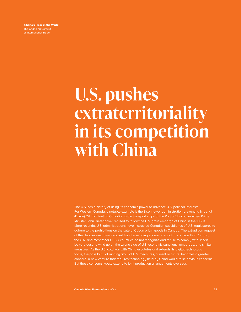# <span id="page-26-0"></span>**U.S. pushes extraterritoriality in its competition with China**

The U.S. has a history of using its economic power to advance U.S. political interests. For Western Canada, a notable example is the Eisenhower administration preventing Imperial (Exxon) Oil from fueling Canadian grain transport ships at the Port of Vancouver when Prime Minister John Diefenbaker refused to follow the U.S. grain embargo of China in the 1950s. More recently, U.S. administrations have instructed Canadian subsidiaries of U.S. retail stores to adhere to the prohibitions on the sale of Cuban origin goods in Canada. The extradition request of the Huawei executive involved fraud in evading economic sanctions on Iran that Canada, the U.N. and most other OECD countries do not recognize and refuse to comply with. It can be very easy to wind up on the wrong side of U.S. economic sanctions, embargos, and similar measures. As the U.S. cold war with China escalates and extends its digital technology focus, the possibility of running afoul of U.S. measures, current or future, becomes a greater concern. A new venture that requires technology held by China would raise obvious concerns. But these concerns would extend to joint production arrangements overseas.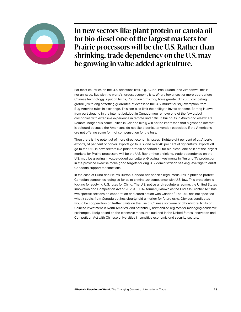

**In new sectors like plant protein or canola oil for bio-diesel one of the largest markets for Prairie processors will be the U.S. Rather than shrinking, trade dependency on the U.S. may be growing in value-added agriculture.**

For most countries on the U.S. sanctions lists, e.g., Cuba, Iran, Sudan, and Zimbabwe, this is not an issue. But with the world's largest economy it is. Where lower cost or more appropriate Chinese technology is put off limits, Canadian firms may have greater difficulty competing globally with any offsetting guarantee of access to the U.S. market or say exemption from Buy America rules in exchange. This can also limit the ability to invest at home. Barring Huawei from participating in the internet buildout in Canada may remove one of the few global companies with extensive experience in remote and difficult buildouts in Africa and elsewhere. Remote Indigenous communities in Canada likely will not be impressed that highspeed internet is delayed because the Americans do not like a particular vendor, especially if the Americans are not offering some form of compensation for the loss.

Then there is the potential of more direct economic losses. Eighty-eight per cent of all Alberta exports, 61 per cent of non-oil exports go to U.S. and over 40 per cent of agricultural exports all go to the U.S. In new sectors like plant protein or canola oil for bio-diesel one of, if not the largest markets for Prairie processors will be the U.S. Rather than shrinking, trade dependency on the U.S. may be growing in value-added agriculture. Growing investments in film and TV production in the province likewise make good targets for any U.S. administration seeking leverage to enlist Canadian support for sanctions.

In the case of Cuba and Helms-Burton, Canada has specific legal measures in place to protect Canadian companies, going so far as to criminalize compliance with U.S. law. This protection is lacking for evolving U.S. rules for China. The U.S. policy and regulatory regime, the United States Innovation and Competition Act of 2021 (USICA), formerly known as the Endless Frontier Act, has two specific sections on cooperation and coordination with Canada.<sup>8</sup> The U.S. has not specified what it seeks from Canada but has clearly laid a marker for future asks. Obvious candidates would be cooperation on further limits on the use of Chinese software and hardware, limits on Chinese investment in North America, and potentially harmonized regimes for managing academic exchanges, likely based on the extensive measures outlined in the United States Innovation and Competition Act with Chinese universities in sensitive economic and security sectors.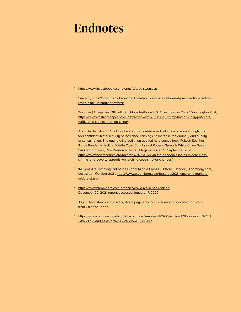# <span id="page-28-0"></span>**Endnotes**

- <sup>1</sup> <https://www.investopedia.com/terms/g/grey-swan.asp>
- <sup>2</sup> See e.g., [https://www.theglobeandmail.com/politics/article-if-the-next-presidential-election](https://www.theglobeandmail.com/politics/article-if-the-next-presidential-election-reveals-the-us-hurtling-toward/)[reveals-the-us-hurtling-toward/](https://www.theglobeandmail.com/politics/article-if-the-next-presidential-election-reveals-the-us-hurtling-toward/)
- <sup>3</sup> 'Analysis | Trump Has Officially Put More Tariffs on U.S. Allies than on China', Washington Post, [https://www.washingtonpost.com/news/wonk/wp/2018/05/31/trump-has-officially-put-more](https://www.washingtonpost.com/news/wonk/wp/2018/05/31/trump-has-officially-put-more-tariffs-on-u-s-allies-than-on-china/)[tariffs-on-u-s-allies-than-on-china/](https://www.washingtonpost.com/news/wonk/wp/2018/05/31/trump-has-officially-put-more-tariffs-on-u-s-allies-than-on-china/).
- <sup>4</sup> A simple definition of "middle class" in this context is individuals who earn enough, and feel confident in the security of increased earnings, to increase the quantity and quality of consumption. The quantitative definition applied here comes from, Rakesh Kochhar, 'In the Pandemic, India's Middle Class Shrinks and Poverty Spreads While China Sees Smaller Changes', Pew Research Center (blog), accessed 10 September 2021, [https://www.pewresearch.org/fact-tank/2021/03/18/in-the-pandemic-indias-middle-class](https://www.pewresearch.org/fact-tank/2021/03/18/in-the-pandemic-indias-middle-class-shrinks-and-poverty-spreads-while-china-sees-smaller-changes/)[shrinks-and-poverty-spreads-while-china-sees-smaller-changes/](https://www.pewresearch.org/fact-tank/2021/03/18/in-the-pandemic-indias-middle-class-shrinks-and-poverty-spreads-while-china-sees-smaller-changes/).
- <sup>5</sup> 'Millions Are Tumbling Out of the Global Middle Class in Historic Setback', Bloomberg.com, accessed 1 October 2021, [https://www.bloomberg.com/features/2021-emerging-markets](https://www.bloomberg.com/features/2021-emerging-markets-middle-class/)[middle-class/](https://www.bloomberg.com/features/2021-emerging-markets-middle-class/).
- <sup>6</sup> <https://www.bloomberg.com/graphics/covid-resilience-ranking/> December 22, 2021 report, accessed January 17, 2022
- $7$  Japan, for instance is providing direct payments to businesses to relocate production from China to Japan.
- <sup>8</sup> [https://www.congress.gov/bill/117th-congress/senate-bill/1260/text?q=%7B%22search%22%](https://www.congress.gov/bill/117th-congress/senate-bill/1260/text?q=%7B%22search%22%3A%5B%22endless+frontier%22%5D%7D&r=1&s=2) [3A%5B%22endless+frontier%22%5D%7D&r=1&s=2](https://www.congress.gov/bill/117th-congress/senate-bill/1260/text?q=%7B%22search%22%3A%5B%22endless+frontier%22%5D%7D&r=1&s=2)